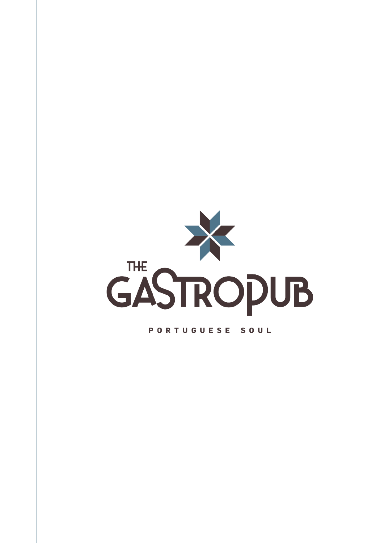

#### PORTUGUESE SOUL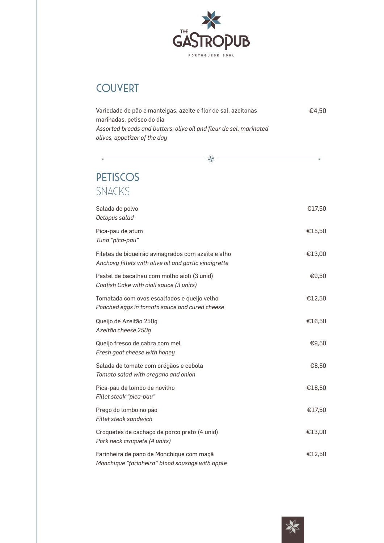

# **COUVERT**

| Variedade de pão e manteigas, azeite e flor de sal, azeitonas      | €4.50 |
|--------------------------------------------------------------------|-------|
| marinadas, petisco do dia                                          |       |
| Assorted breads and butters, olive oil and fleur de sel, marinated |       |
| olives, appetizer of the day                                       |       |

幸

# PETISCOS SNACKS

| Salada de polvo<br>Octopus salad                                                                            | €17,50 |
|-------------------------------------------------------------------------------------------------------------|--------|
| Pica-pau de atum<br>Tuna "pica-pau"                                                                         | €15,50 |
| Filetes de biqueirão avinagrados com azeite e alho<br>Anchovy fillets with olive oil and garlic vinaigrette | €13,00 |
| Pastel de bacalhau com molho aioli (3 unid)<br>Codfish Cake with aioli sauce (3 units)                      | €9,50  |
| Tomatada com ovos escalfados e queijo velho<br>Poached eggs in tomato sauce and cured cheese                | €12,50 |
| Queijo de Azeitão 250g<br>Azeitão cheese 250g                                                               | €16,50 |
| Queijo fresco de cabra com mel<br>Fresh goat cheese with honey                                              | €9,50  |
| Salada de tomate com orégãos e cebola<br>Tomato salad with oregano and onion                                | €8,50  |
| Pica-pau de lombo de novilho<br>Fillet steak "pica-pau"                                                     | €18,50 |
| Prego do lombo no pão<br><b>Fillet steak sandwich</b>                                                       | €17,50 |
| Croquetes de cachaço de porco preto (4 unid)<br>Pork neck croquete (4 units)                                | €13,00 |
| Farinheira de pano de Monchique com maçã<br>Monchique "farinheira" blood sausage with apple                 | €12,50 |

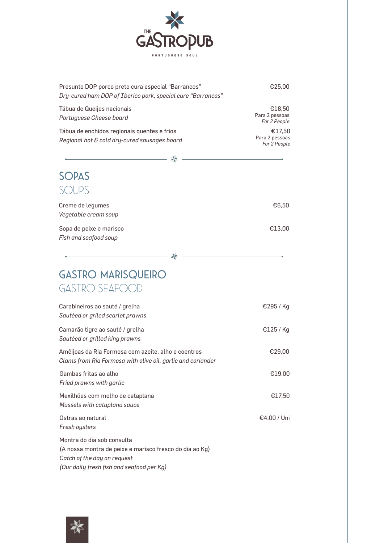

| Presunto DOP porco preto cura especial "Barrancos"<br>Dry-cured ham DOP of Iberico pork, special cure "Barrancos"                                                 | €25,00                                   |
|-------------------------------------------------------------------------------------------------------------------------------------------------------------------|------------------------------------------|
| Tábua de Queijos nacionais<br>Portuguese Cheese board                                                                                                             | €18,50<br>Para 2 pessoas<br>For 2 People |
| Tábua de enchidos regionais quentes e frios<br>Regional hot & cold dry-cured sausages board                                                                       | €17,50<br>Para 2 pessoas<br>For 2 People |
|                                                                                                                                                                   |                                          |
| <b>SOPAS</b>                                                                                                                                                      |                                          |
| SOUPS                                                                                                                                                             |                                          |
|                                                                                                                                                                   |                                          |
| Creme de legumes<br>Vegetable cream soup                                                                                                                          | €6,50                                    |
| Sopa de peixe e marisco<br>Fish and seafood soup                                                                                                                  | €13,00                                   |
|                                                                                                                                                                   |                                          |
|                                                                                                                                                                   |                                          |
| <b>GASTRO MARISQUEIRO</b>                                                                                                                                         |                                          |
| GASTRO SEAFOOD                                                                                                                                                    |                                          |
| Carabineiros ao sauté / grelha<br>Sautéed or griled scarlet prawns                                                                                                | €295 / Kg                                |
| Camarão tigre ao sauté / grelha<br>Sautéed or grilled king prawns                                                                                                 | €125 / Kg                                |
| Amêijoas da Ria Formosa com azeite, alho e coentros<br>Clams from Ria Formosa with olive oil, garlic and coriander                                                | €29,00                                   |
| Gambas fritas ao alho<br>Fried prawns with garlic                                                                                                                 | €19,00                                   |
| Mexilhões com molho de cataplana<br>Mussels with cataplana sauce                                                                                                  | €17,50                                   |
| Ostras ao natural<br>Fresh oysters                                                                                                                                | €4,00 / Uni                              |
| Montra do dia sob consulta<br>(A nossa montra de peixe e marisco fresco do dia ao Kg)<br>Catch of the day on request<br>(Our daily fresh fish and seafood per Kg) |                                          |

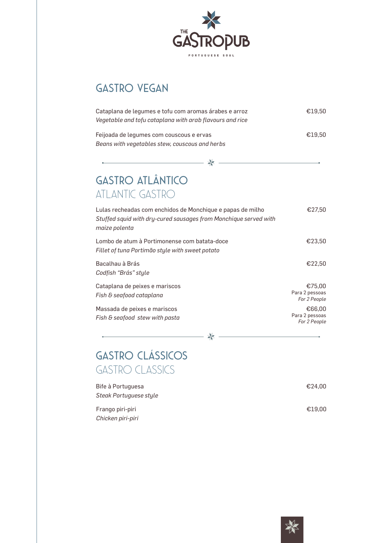

# GASTRO VEGAN

| Cataplana de legumes e tofu com aromas árabes e arroz<br>Vegetable and tofu cataplana with arab flavours and rice              | €19.50 |
|--------------------------------------------------------------------------------------------------------------------------------|--------|
| Feijoada de legumes com couscous e ervas<br>Beans with vegetables stew, couscous and herbs                                     | €19.50 |
|                                                                                                                                |        |
| <b>GASTRO ATLÂNTICO</b><br>ATLANTIC GASTRO                                                                                     |        |
| Lulas recheadas com enchidos de Monchique e papas de milho<br>Stuffed squid with dry-cured sausages from Monchique served with | €27.50 |

| maize polenta                                                                                   |                                          |
|-------------------------------------------------------------------------------------------------|------------------------------------------|
| Lombo de atum à Portimonense com batata-doce<br>Fillet of tuna Portimão style with sweet potato | €23,50                                   |
| Bacalhau à Brás<br>Codfish "Brás" style                                                         | €22.50                                   |
| Cataplana de peixes e mariscos<br>Fish & seafood cataplana                                      | €75.00<br>Para 2 pessoas<br>For 2 People |
| Massada de peixes e mariscos<br>Fish & seafood stew with pasta                                  | €66.00<br>Para 2 pessoas<br>For 2 People |

—— ※

# GASTRO clássicos GASTRO classics

 $\overline{\phantom{a}}$ 

| Bife à Portuguesa      | €24,00 |
|------------------------|--------|
| Steak Portuguese style |        |
| Frango piri-piri       | €19.00 |
| Chicken piri-piri      |        |

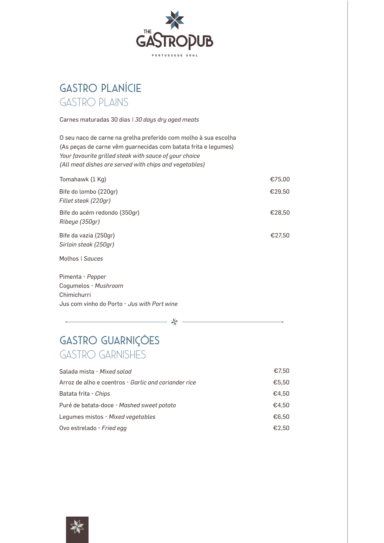

# GASTRO PLANÍCIE GASTRO PLAINS

Carnes maturadas 30 dias | *30 days dry aged meats*

O seu naco de carne na grelha preferido com molho à sua escolha (As peças de carne vêm guarnecidas com batata frita e legumes) *Your favourite grilled steak with sauce of your choice (All meat dishes are served with chips and vegetables)*

| Tomahawk (1 Kg)                                | €75,00 |
|------------------------------------------------|--------|
| Bife do lombo (220gr)<br>Fillet steak (220gr)  | €29,50 |
| Bife do acém redondo (350gr)<br>Ribeye (350gr) | €28,50 |
| Bife da vazia (250gr)<br>Sirloin steak (250ar) | €27.50 |
| Molhos   Sauces                                |        |

Pimenta • *Pepper* Cogumelos • *Mushroom* Chimichurri Jus com vinho do Porto • *Jus with Port wine*

☀

# GASTRO GUARNIÇÕES GASTRO GARNISHES

| Salada mista · Mixed salad                                 | €7.50 |
|------------------------------------------------------------|-------|
| Arroz de alho e coentros $\cdot$ Garlic and coriander rice | €5,50 |
| Batata frita $\cdot$ Chips                                 | €4.50 |
| Puré de batata-doce · Mashed sweet potato                  | €4.50 |
| Lequmes mistos $\cdot$ Mixed vegetables                    | €6.50 |
| Ovo estrelado $\cdot$ Fried egg                            | €2.50 |

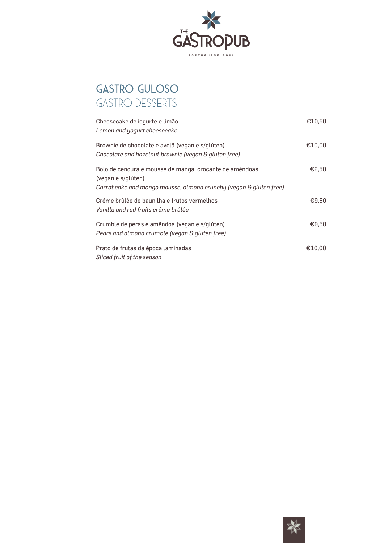

# GASTRO GULOSO GASTRO DESSERTS

| Cheesecake de iogurte e limão<br>Lemon and yogurt cheesecake                                                                                        | €10.50 |
|-----------------------------------------------------------------------------------------------------------------------------------------------------|--------|
| Brownie de chocolate e avelã (vegan e s/glúten)<br>Chocolate and hazelnut brownie (vegan & gluten free)                                             | €10,00 |
| Bolo de cenoura e mousse de manga, crocante de amêndoas<br>(vegan e s/glúten)<br>Carrot cake and mango mousse, almond crunchy (vegan & gluten free) | €9.50  |
| Créme brûlêe de baunilha e frutos vermelhos<br>Vanilla and red fruits créme brûlêe                                                                  | €9.50  |
| Crumble de peras e amêndoa (vegan e s/glúten)<br>Pears and almond crumble (vegan & gluten free)                                                     | €9.50  |
| Prato de frutas da época laminadas<br>Sliced fruit of the season                                                                                    | €10.00 |

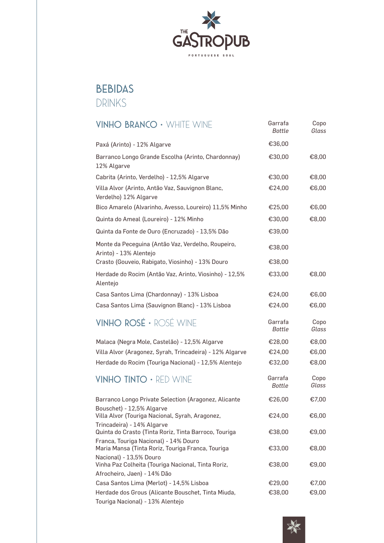

## BEBIDAS DRINKS

Touriga Nacional) - 13% Alentejo

| <b>VINHO BRANCO · WHITE WINE</b>                                                                             | Garrafa<br><b>Bottle</b> | Copo<br>Glass |
|--------------------------------------------------------------------------------------------------------------|--------------------------|---------------|
| Paxá (Arinto) - 12% Algarve                                                                                  | €36,00                   |               |
| Barranco Longo Grande Escolha (Arinto, Chardonnay)<br>12% Algarve                                            | €30,00                   | €8,00         |
| Cabrita (Arinto, Verdelho) - 12,5% Algarve                                                                   | €30,00                   | €8,00         |
| Villa Alvor (Arinto, Antão Vaz, Sauvignon Blanc,<br>Verdelho) 12% Algarve                                    | €24,00                   | €6,00         |
| Bico Amarelo (Alvarinho, Avesso, Loureiro) 11,5% Minho                                                       | €25,00                   | €6,00         |
| Quinta do Ameal (Loureiro) - 12% Minho                                                                       | €30,00                   | €8,00         |
| Quinta da Fonte de Ouro (Encruzado) - 13,5% Dão                                                              | €39,00                   |               |
| Monte da Peceguina (Antão Vaz, Verdelho, Roupeiro,<br>Arinto) - 13% Alentejo                                 | €38,00                   |               |
| Crasto (Gouveio, Rabigato, Viosinho) - 13% Douro                                                             | €38,00                   |               |
| Herdade do Rocim (Antão Vaz, Arinto, Viosinho) - 12,5%<br>Alentejo                                           | €33,00                   | €8,00         |
| Casa Santos Lima (Chardonnay) - 13% Lisboa                                                                   | €24,00                   | €6,00         |
| Casa Santos Lima (Sauvignon Blanc) - 13% Lisboa                                                              | €24,00                   | €6,00         |
| VINHO ROSÉ · ROSÉ WINE                                                                                       | Garrafa<br><b>Bottle</b> | Copo<br>Glass |
| Malaca (Negra Mole, Castelão) - 12,5% Algarve                                                                | €28,00                   | €8,00         |
| Villa Alvor (Aragonez, Syrah, Trincadeira) - 12% Algarve                                                     | €24,00                   | €6,00         |
| Herdade do Rocim (Touriga Nacional) - 12,5% Alentejo                                                         | €32,00                   | €8,00         |
| <b>VINHO TINTO · RED WINE</b>                                                                                | Garrafa<br>Bottle        | Copo<br>Glass |
| Barranco Longo Private Selection (Aragonez, Alicante<br>Bouschet) - 12,5% Algarve                            | €26,00                   | €7,00         |
| Villa Alvor (Touriga Nacional, Syrah, Aragonez,                                                              | €24,00                   | €6,00         |
| Trincadeira) - 14% Algarve<br>Quinta do Crasto (Tinta Roriz, Tinta Barroco, Touriga                          | €38,00                   | €9,00         |
| Franca, Touriga Nacional) - 14% Douro<br>Maria Mansa (Tinta Roriz, Touriga Franca, Touriga                   | €33,00                   | €8,00         |
| Nacional) - 13,5% Douro<br>Vinha Paz Colheita (Touriga Nacional, Tinta Roriz,<br>Afrocheiro, Jaen) - 14% Dão | €38,00                   | €9,00         |
| Casa Santos Lima (Merlot) - 14,5% Lisboa                                                                     | €29,00                   | €7,00         |
| Herdade dos Grous (Alicante Bouschet, Tinta Miuda,                                                           | €38,00                   | €9,00         |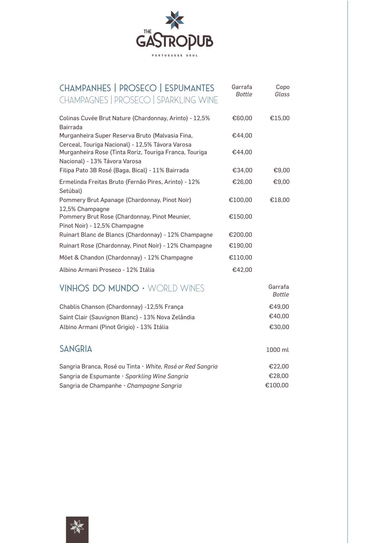

| <b>CHAMPANHES   PROSECO   ESPUMANTES</b><br><b>CHAMPAGNES   PROSECO   SPARKLING WINE</b>                                                    | Garrafa<br>Bottle | Copo<br>Glass     |
|---------------------------------------------------------------------------------------------------------------------------------------------|-------------------|-------------------|
| Colinas Cuvée Brut Nature (Chardonnay, Arinto) - 12,5%<br><b>Bairrada</b>                                                                   | €60,00            | €15,00            |
| Murganheira Super Reserva Bruto (Malvasia Fina,                                                                                             | €44.00            |                   |
| Cerceal, Touriga Nacional) - 12,5% Távora Varosa<br>Murganheira Rose (Tinta Roriz, Touriga Franca, Touriga<br>Nacional) - 13% Távora Varosa | €44,00            |                   |
| Filipa Pato 3B Rosé (Baga, Bical) - 11% Bairrada                                                                                            | €34.00            | €9,00             |
| Ermelinda Freitas Bruto (Fernão Pires, Arinto) - 12%<br>Setúbal)                                                                            | €26,00            | €9,00             |
| Pommery Brut Apanage (Chardonnay, Pinot Noir)<br>12,5% Champagne                                                                            | €100,00           | €18,00            |
| Pommery Brut Rose (Chardonnay, Pinot Meunier,<br>Pinot Noir) - 12,5% Champagne                                                              | €150,00           |                   |
| Ruinart Blanc de Blancs (Chardonnay) - 12% Champagne                                                                                        | €200,00           |                   |
| Ruinart Rose (Chardonnay, Pinot Noir) - 12% Champagne                                                                                       | €190,00           |                   |
| Möet & Chandon (Chardonnay) - 12% Champagne                                                                                                 | €110,00           |                   |
| Albino Armani Proseco - 12% Itália                                                                                                          | €42,00            |                   |
| VINHOS DO MUNDO · WORLD WINES                                                                                                               |                   | Garrafa<br>Bottle |
| Chablis Chanson (Chardonnay) -12,5% França                                                                                                  |                   | €49,00            |
| Saint Clair (Sauvignon Blanc) - 13% Nova Zelândia                                                                                           |                   | €40,00            |



| Sangria Branca, Rosé ou Tinta • White, Rosé or Red Sangria | €22.00  |
|------------------------------------------------------------|---------|
| Sangria de Espumante · Sparkling Wine Sangria              | €28.00  |
| Sangria de Champanhe · Champagne Sangria                   | €100.00 |

Albino Armani (Pinot Grigio) - 13% Itália €30,00

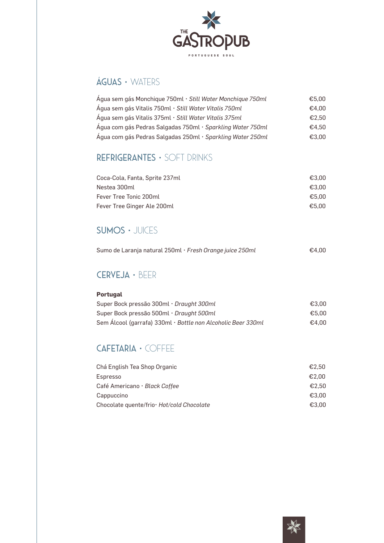

## ÁGUAS • WATERS

| Água sem gás Monchique 750ml · Still Water Monchique 750ml | €5.00 |
|------------------------------------------------------------|-------|
| Água sem gás Vitalis 750ml · Still Water Vitalis 750ml     | €4.00 |
| Água sem gás Vitalis 375ml·Still Water Vitalis 375ml       | €2.50 |
| Água com gás Pedras Salgadas 750ml · Sparkling Water 750ml | €4.50 |
| Água com gás Pedras Salgadas 250ml · Sparkling Water 250ml | €3.00 |

## REFRIGERANTES • SOFT DRINKS

| Coca-Cola, Fanta, Sprite 237ml | €3.00 |
|--------------------------------|-------|
| Nestea 300ml                   | €3.00 |
| Fever Tree Tonic 200ml         | €5.00 |
| Fever Tree Ginger Ale 200ml    | €5.00 |

## SUMOS • JUICES

| Sumo de Laranja natural 250ml · Fresh Orange juice 250ml | €4,00 |
|----------------------------------------------------------|-------|
|                                                          |       |

## CERVEJA • BEER

### **Portugal**

| Super Bock pressão 300ml · Draught 300ml                     | €3.00 |
|--------------------------------------------------------------|-------|
| Super Bock pressão 500ml · Draught 500ml                     | €5.00 |
| Sem Álcool (garrafa) 330ml · Bottle non Alcoholic Beer 330ml | €4.00 |

## CAFETARIA • COFFEE

| Chá English Tea Shop Organic               | €2.50 |
|--------------------------------------------|-------|
| Espresso                                   | €2.00 |
| Café Americano · Black Coffee              | €2.50 |
| Cappuccino                                 | €3.00 |
| Chocolate quente/frio · Hot/cold Chocolate | €3.00 |